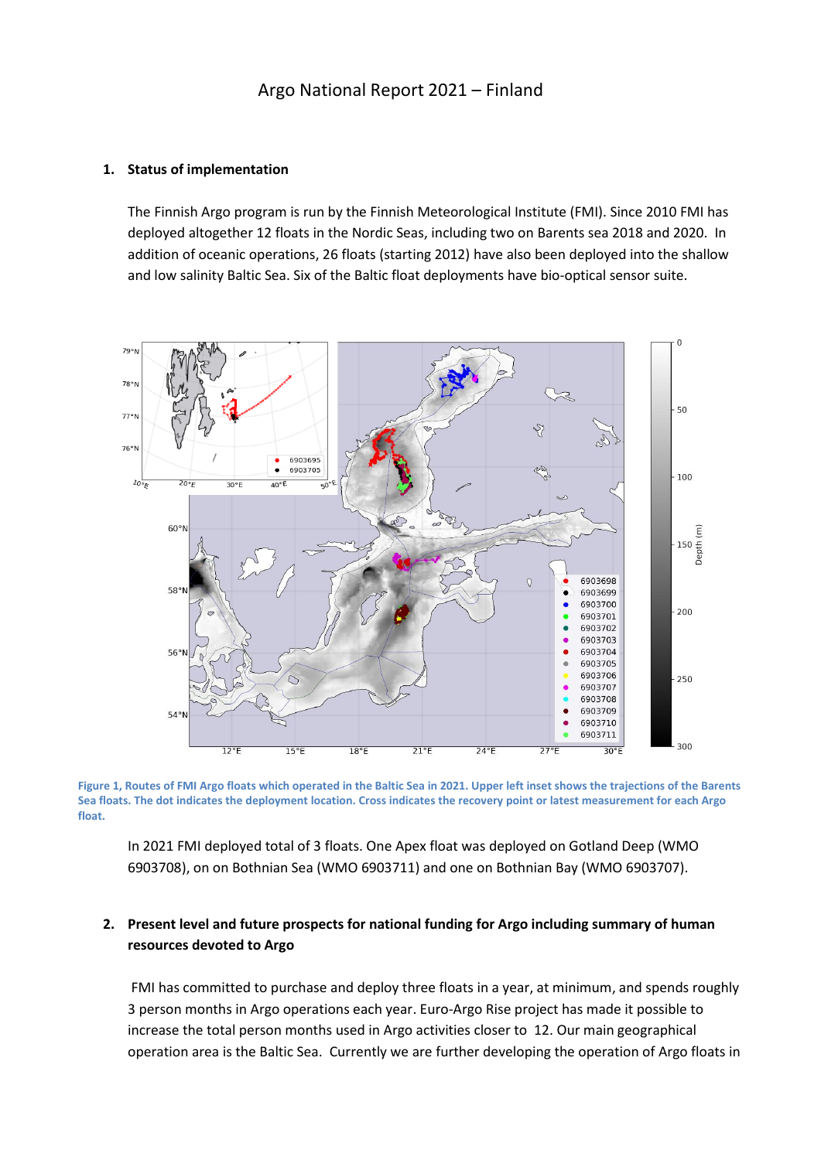#### **1. Status of implementation**

The Finnish Argo program is run by the Finnish Meteorological Institute (FMI). Since 2010 FMI has deployed altogether 12 floats in the Nordic Seas, including two on Barents sea 2018 and 2020. In addition of oceanic operations, 26 floats (starting 2012) have also been deployed into the shallow and low salinity Baltic Sea. Six of the Baltic float deployments have bio-optical sensor suite.



**Figure 1, Routes of FMI Argo floats which operated in the Baltic Sea in 2021. Upper left inset shows the trajections of the Barents Sea floats. The dot indicates the deployment location. Cross indicates the recovery point or latest measurement for each Argo float.**

In 2021 FMI deployed total of 3 floats. One Apex float was deployed on Gotland Deep (WMO 6903708), on on Bothnian Sea (WMO 6903711) and one on Bothnian Bay (WMO 6903707).

# **2. Present level and future prospects for national funding for Argo including summary of human resources devoted to Argo**

FMI has committed to purchase and deploy three floats in a year, at minimum, and spends roughly 3 person months in Argo operations each year. Euro-Argo Rise project has made it possible to increase the total person months used in Argo activities closer to 12. Our main geographical operation area is the Baltic Sea. Currently we are further developing the operation of Argo floats in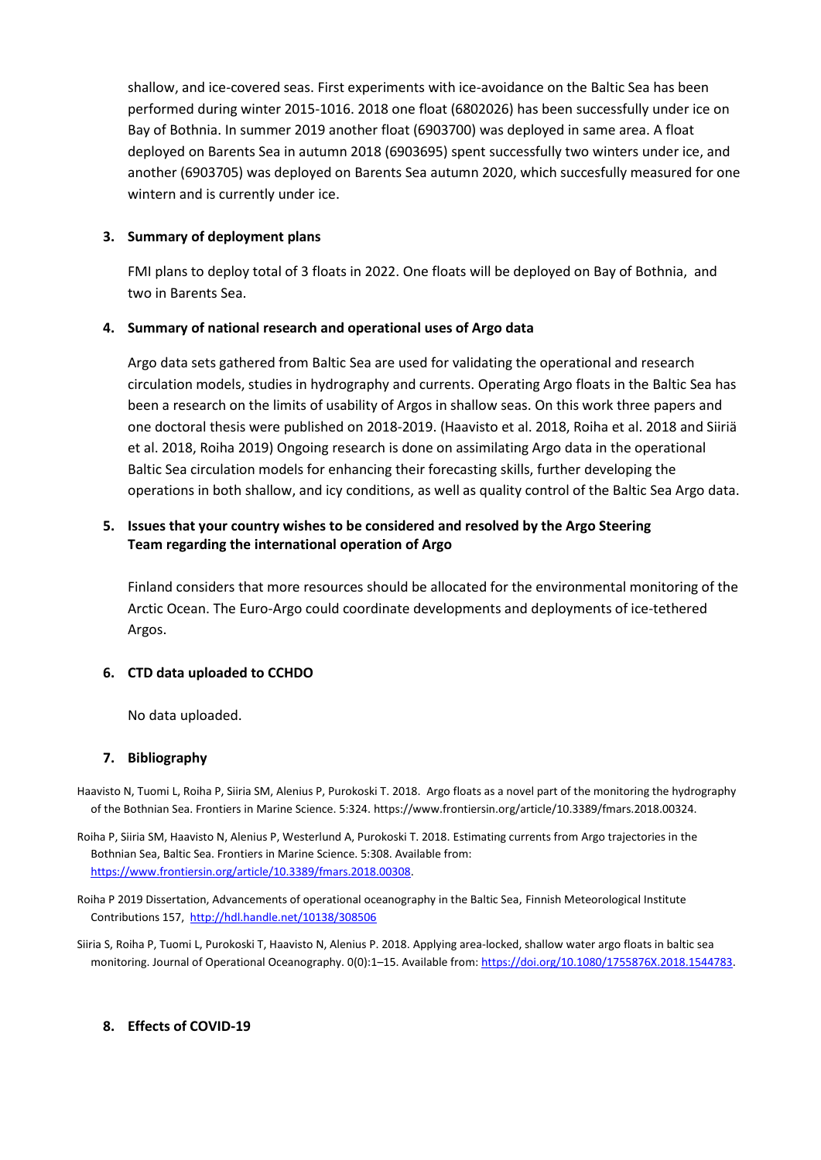shallow, and ice-covered seas. First experiments with ice-avoidance on the Baltic Sea has been performed during winter 2015-1016. 2018 one float (6802026) has been successfully under ice on Bay of Bothnia. In summer 2019 another float (6903700) was deployed in same area. A float deployed on Barents Sea in autumn 2018 (6903695) spent successfully two winters under ice, and another (6903705) was deployed on Barents Sea autumn 2020, which succesfully measured for one wintern and is currently under ice.

### **3. Summary of deployment plans**

FMI plans to deploy total of 3 floats in 2022. One floats will be deployed on Bay of Bothnia, and two in Barents Sea.

#### **4. Summary of national research and operational uses of Argo data**

Argo data sets gathered from Baltic Sea are used for validating the operational and research circulation models, studies in hydrography and currents. Operating Argo floats in the Baltic Sea has been a research on the limits of usability of Argos in shallow seas. On this work three papers and one doctoral thesis were published on 2018-2019. (Haavisto et al. 2018, Roiha et al. 2018 and Siiriä et al. 2018, Roiha 2019) Ongoing research is done on assimilating Argo data in the operational Baltic Sea circulation models for enhancing their forecasting skills, further developing the operations in both shallow, and icy conditions, as well as quality control of the Baltic Sea Argo data.

## **5. Issues that your country wishes to be considered and resolved by the Argo Steering Team regarding the international operation of Argo**

Finland considers that more resources should be allocated for the environmental monitoring of the Arctic Ocean. The Euro-Argo could coordinate developments and deployments of ice-tethered Argos.

## **6. CTD data uploaded to CCHDO**

No data uploaded.

#### **7. Bibliography**

- Haavisto N, Tuomi L, Roiha P, Siiria SM, Alenius P, Purokoski T. 2018. Argo floats as a novel part of the monitoring the hydrography of the Bothnian Sea. Frontiers in Marine Science. 5:324. https://www.frontiersin.org/article/10.3389/fmars.2018.00324.
- Roiha P, Siiria SM, Haavisto N, Alenius P, Westerlund A, Purokoski T. 2018. Estimating currents from Argo trajectories in the Bothnian Sea, Baltic Sea. Frontiers in Marine Science. 5:308. Available from: [https://www.frontiersin.org/article/10.3389/fmars.2018.00308.](https://www.frontiersin.org/article/10.3389/fmars.2018.00308)
- Roiha P 2019 Dissertation, Advancements of operational oceanography in the Baltic Sea, Finnish Meteorological Institute Contributions 157, <http://hdl.handle.net/10138/308506>
- Siiria S, Roiha P, Tuomi L, Purokoski T, Haavisto N, Alenius P. 2018. Applying area-locked, shallow water argo floats in baltic sea monitoring. Journal of Operational Oceanography. 0(0):1-15. Available from[: https://doi.org/10.1080/1755876X.2018.1544783.](https://doi.org/10.1080/1755876X.2018.1544783)

## **8. Effects of COVID-19**